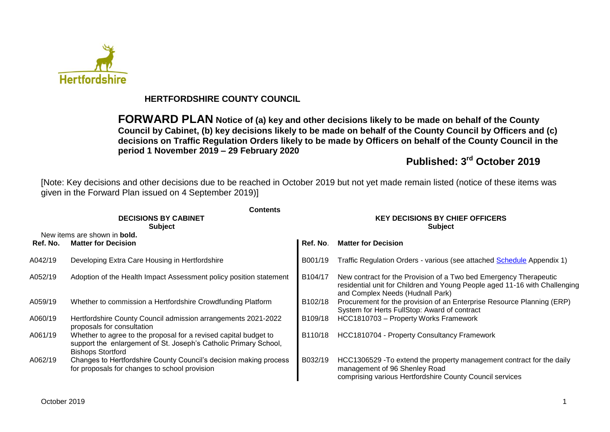

## **HERTFORDSHIRE COUNTY COUNCIL**

**FORWARD PLAN Notice of (a) key and other decisions likely to be made on behalf of the County Council by Cabinet, (b) key decisions likely to be made on behalf of the County Council by Officers and (c) decisions on Traffic Regulation Orders likely to be made by Officers on behalf of the County Council in the period 1 November 2019 – 29 February 2020**

# **Published: 3 rd October 2019**

[Note: Key decisions and other decisions due to be reached in October 2019 but not yet made remain listed (notice of these items was given in the Forward Plan issued on 4 September 2019)]

|          | <b>Contents</b>                                                                                                                                                  |                                                          |                                                                                                                                                                                     |  |  |
|----------|------------------------------------------------------------------------------------------------------------------------------------------------------------------|----------------------------------------------------------|-------------------------------------------------------------------------------------------------------------------------------------------------------------------------------------|--|--|
|          | <b>DECISIONS BY CABINET</b><br><b>Subject</b>                                                                                                                    | <b>KEY DECISIONS BY CHIEF OFFICERS</b><br><b>Subject</b> |                                                                                                                                                                                     |  |  |
| Ref. No. | New items are shown in <b>bold.</b><br><b>Matter for Decision</b>                                                                                                | Ref. No.                                                 | <b>Matter for Decision</b>                                                                                                                                                          |  |  |
| A042/19  | Developing Extra Care Housing in Hertfordshire                                                                                                                   | B001/19                                                  | Traffic Regulation Orders - various (see attached Schedule Appendix 1)                                                                                                              |  |  |
| A052/19  | Adoption of the Health Impact Assessment policy position statement                                                                                               | B104/17                                                  | New contract for the Provision of a Two bed Emergency Therapeutic<br>residential unit for Children and Young People aged 11-16 with Challenging<br>and Complex Needs (Hudnall Park) |  |  |
| A059/19  | Whether to commission a Hertfordshire Crowdfunding Platform                                                                                                      | B102/18                                                  | Procurement for the provision of an Enterprise Resource Planning (ERP)<br>System for Herts FullStop: Award of contract                                                              |  |  |
| A060/19  | Hertfordshire County Council admission arrangements 2021-2022<br>proposals for consultation                                                                      | B <sub>109</sub> /18                                     | HCC1810703 - Property Works Framework                                                                                                                                               |  |  |
| A061/19  | Whether to agree to the proposal for a revised capital budget to<br>support the enlargement of St. Joseph's Catholic Primary School,<br><b>Bishops Stortford</b> | B110/18                                                  | HCC1810704 - Property Consultancy Framework                                                                                                                                         |  |  |
| A062/19  | Changes to Hertfordshire County Council's decision making process<br>for proposals for changes to school provision                                               | B032/19                                                  | HCC1306529 - To extend the property management contract for the daily<br>management of 96 Shenley Road<br>comprising various Hertfordshire County Council services                  |  |  |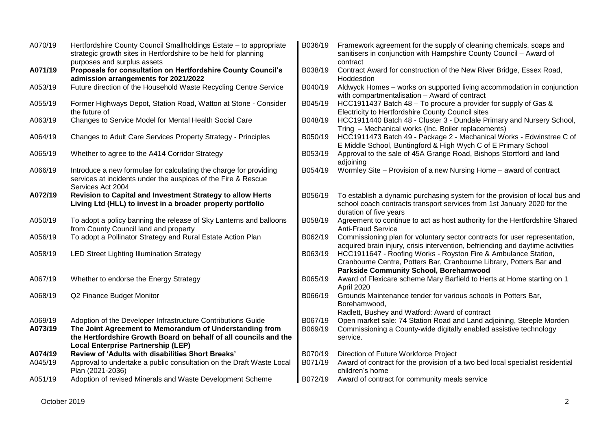| A070/19            | Hertfordshire County Council Smallholdings Estate - to appropriate<br>strategic growth sites in Hertfordshire to be held for planning<br>purposes and surplus assets | B036/19            | Framework agreement for the supply of cleaning chemicals, soaps and<br>sanitisers in conjunction with Hampshire County Council - Award of<br>contract                                  |
|--------------------|----------------------------------------------------------------------------------------------------------------------------------------------------------------------|--------------------|----------------------------------------------------------------------------------------------------------------------------------------------------------------------------------------|
| A071/19            | Proposals for consultation on Hertfordshire County Council's<br>admission arrangements for 2021/2022                                                                 | B038/19            | Contract Award for construction of the New River Bridge, Essex Road,<br>Hoddesdon                                                                                                      |
| A053/19            | Future direction of the Household Waste Recycling Centre Service                                                                                                     | B040/19            | Aldwyck Homes - works on supported living accommodation in conjunction<br>with compartmentalisation - Award of contract                                                                |
| A055/19            | Former Highways Depot, Station Road, Watton at Stone - Consider<br>the future of                                                                                     | B045/19            | HCC1911437 Batch 48 – To procure a provider for supply of Gas &<br>Electricity to Hertfordshire County Council sites                                                                   |
| A063/19            | Changes to Service Model for Mental Health Social Care                                                                                                               | B048/19            | HCC1911440 Batch 48 - Cluster 3 - Dundale Primary and Nursery School,<br>Tring - Mechanical works (Inc. Boiler replacements)                                                           |
| A064/19            | Changes to Adult Care Services Property Strategy - Principles                                                                                                        | B050/19            | HCC1911473 Batch 49 - Package 2 - Mechanical Works - Edwinstree C of<br>E Middle School, Buntingford & High Wych C of E Primary School                                                 |
| A065/19            | Whether to agree to the A414 Corridor Strategy                                                                                                                       | B053/19            | Approval to the sale of 45A Grange Road, Bishops Stortford and land<br>adjoining                                                                                                       |
| A066/19            | Introduce a new formulae for calculating the charge for providing<br>services at incidents under the auspices of the Fire & Rescue<br>Services Act 2004              | B054/19            | Wormley Site – Provision of a new Nursing Home – award of contract                                                                                                                     |
| A072/19            | Revision to Capital and Investment Strategy to allow Herts<br>Living Ltd (HLL) to invest in a broader property portfolio                                             | B056/19            | To establish a dynamic purchasing system for the provision of local bus and<br>school coach contracts transport services from 1st January 2020 for the<br>duration of five years       |
| A050/19            | To adopt a policy banning the release of Sky Lanterns and balloons<br>from County Council land and property                                                          | B058/19            | Agreement to continue to act as host authority for the Hertfordshire Shared<br><b>Anti-Fraud Service</b>                                                                               |
| A056/19            | To adopt a Pollinator Strategy and Rural Estate Action Plan                                                                                                          | B062/19            | Commissioning plan for voluntary sector contracts for user representation,<br>acquired brain injury, crisis intervention, befriending and daytime activities                           |
| A058/19            | <b>LED Street Lighting Illumination Strategy</b>                                                                                                                     | B063/19            | HCC1911647 - Roofing Works - Royston Fire & Ambulance Station,<br>Cranbourne Centre, Potters Bar, Cranbourne Library, Potters Bar and<br><b>Parkside Community School, Borehamwood</b> |
| A067/19            | Whether to endorse the Energy Strategy                                                                                                                               | B065/19            | Award of Flexicare scheme Mary Barfield to Herts at Home starting on 1<br>April 2020                                                                                                   |
| A068/19            | Q2 Finance Budget Monitor                                                                                                                                            | B066/19            | Grounds Maintenance tender for various schools in Potters Bar,<br>Borehamwood,<br>Radlett, Bushey and Watford: Award of contract                                                       |
| A069/19<br>A073/19 | Adoption of the Developer Infrastructure Contributions Guide<br>The Joint Agreement to Memorandum of Understanding from                                              | B067/19<br>B069/19 | Open market sale: 74 Station Road and Land adjoining, Steeple Morden<br>Commissioning a County-wide digitally enabled assistive technology                                             |
|                    | the Hertfordshire Growth Board on behalf of all councils and the<br><b>Local Enterprise Partnership (LEP)</b>                                                        |                    | service.                                                                                                                                                                               |
| A074/19            | Review of 'Adults with disabilities Short Breaks'                                                                                                                    | B070/19            | Direction of Future Workforce Project                                                                                                                                                  |
| A045/19            | Approval to undertake a public consultation on the Draft Waste Local<br>Plan (2021-2036)                                                                             | B071/19            | Award of contract for the provision of a two bed local specialist residential<br>children's home                                                                                       |
| A051/19            | Adoption of revised Minerals and Waste Development Scheme                                                                                                            | B072/19            | Award of contract for community meals service                                                                                                                                          |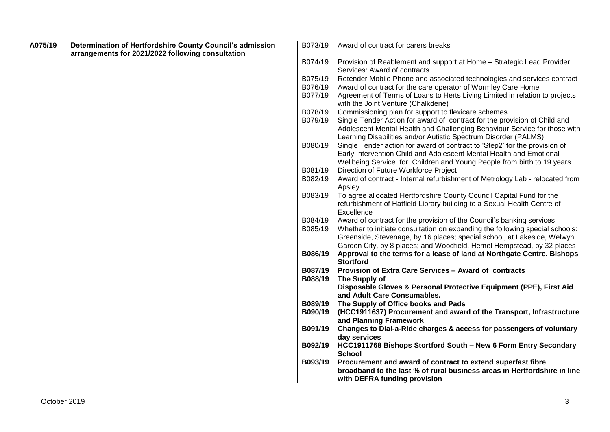| A075/19 | Determination of Hertfordshire County Council's admission<br>arrangements for 2021/2022 following consultation | B073/19 | Award of contract for carers breaks                                            |
|---------|----------------------------------------------------------------------------------------------------------------|---------|--------------------------------------------------------------------------------|
|         |                                                                                                                | B074/19 | Provision of Reablement and support at Home - Strategic Lead Provider          |
|         |                                                                                                                |         | Services: Award of contracts                                                   |
|         |                                                                                                                | B075/19 | Retender Mobile Phone and associated technologies and services contract        |
|         |                                                                                                                | B076/19 | Award of contract for the care operator of Wormley Care Home                   |
|         |                                                                                                                | B077/19 | Agreement of Terms of Loans to Herts Living Limited in relation to projects    |
|         |                                                                                                                |         | with the Joint Venture (Chalkdene)                                             |
|         |                                                                                                                | B078/19 | Commissioning plan for support to flexicare schemes                            |
|         |                                                                                                                | B079/19 | Single Tender Action for award of contract for the provision of Child and      |
|         |                                                                                                                |         | Adolescent Mental Health and Challenging Behaviour Service for those with      |
|         |                                                                                                                |         | Learning Disabilities and/or Autistic Spectrum Disorder (PALMS)                |
|         |                                                                                                                | B080/19 | Single Tender action for award of contract to 'Step2' for the provision of     |
|         |                                                                                                                |         | Early Intervention Child and Adolescent Mental Health and Emotional            |
|         |                                                                                                                |         | Wellbeing Service for Children and Young People from birth to 19 years         |
|         |                                                                                                                | B081/19 | Direction of Future Workforce Project                                          |
|         |                                                                                                                | B082/19 | Award of contract - Internal refurbishment of Metrology Lab - relocated from   |
|         |                                                                                                                | B083/19 | Apsley<br>To agree allocated Hertfordshire County Council Capital Fund for the |
|         |                                                                                                                |         | refurbishment of Hatfield Library building to a Sexual Health Centre of        |
|         |                                                                                                                |         | Excellence                                                                     |
|         |                                                                                                                | B084/19 | Award of contract for the provision of the Council's banking services          |
|         |                                                                                                                | B085/19 | Whether to initiate consultation on expanding the following special schools:   |
|         |                                                                                                                |         | Greenside, Stevenage, by 16 places; special school, at Lakeside, Welwyn        |
|         |                                                                                                                |         | Garden City, by 8 places; and Woodfield, Hemel Hempstead, by 32 places         |
|         |                                                                                                                | B086/19 | Approval to the terms for a lease of land at Northgate Centre, Bishops         |
|         |                                                                                                                | B087/19 | <b>Stortford</b>                                                               |
|         |                                                                                                                | B088/19 | Provision of Extra Care Services - Award of contracts<br>The Supply of         |
|         |                                                                                                                |         | Disposable Gloves & Personal Protective Equipment (PPE), First Aid             |
|         |                                                                                                                |         | and Adult Care Consumables.                                                    |
|         |                                                                                                                | B089/19 | The Supply of Office books and Pads                                            |
|         |                                                                                                                | B090/19 | (HCC1911637) Procurement and award of the Transport, Infrastructure            |
|         |                                                                                                                |         | and Planning Framework                                                         |
|         |                                                                                                                | B091/19 | Changes to Dial-a-Ride charges & access for passengers of voluntary            |
|         |                                                                                                                |         | day services                                                                   |
|         |                                                                                                                | B092/19 | HCC1911768 Bishops Stortford South - New 6 Form Entry Secondary                |
|         |                                                                                                                |         | <b>School</b>                                                                  |
|         |                                                                                                                | B093/19 | Procurement and award of contract to extend superfast fibre                    |
|         |                                                                                                                |         | broadband to the last % of rural business areas in Hertfordshire in line       |
|         |                                                                                                                |         | with DEFRA funding provision                                                   |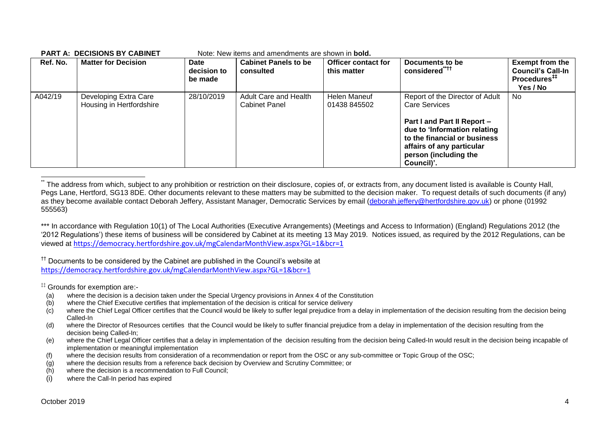| Ref. No. | <b>Matter for Decision</b>                        | Date<br>decision to<br>be made | <b>Cabinet Panels to be</b><br>consulted      | <b>Officer contact for</b><br>this matter | Documents to be<br>considered <sup>"††</sup>                                                                                                                                                                               | <b>Exempt from the</b><br><b>Council's Call-In</b><br>Procedures <sup>#</sup><br>Yes / No |
|----------|---------------------------------------------------|--------------------------------|-----------------------------------------------|-------------------------------------------|----------------------------------------------------------------------------------------------------------------------------------------------------------------------------------------------------------------------------|-------------------------------------------------------------------------------------------|
| A042/19  | Developing Extra Care<br>Housing in Hertfordshire | 28/10/2019                     | Adult Care and Health<br><b>Cabinet Panel</b> | Helen Maneuf<br>01438 845502              | Report of the Director of Adult<br><b>Care Services</b><br>Part I and Part II Report -<br>due to 'Information relating<br>to the financial or business<br>affairs of any particular<br>person (including the<br>Council)'. | No.                                                                                       |

#### **PART A: DECISIONS BY CABINET** Note: New items and amendments are shown in **bold.**

\*\*\* In accordance with Regulation 10(1) of The Local Authorities (Executive Arrangements) (Meetings and Access to Information) (England) Regulations 2012 (the '2012 Regulations') these items of business will be considered by Cabinet at its meeting 13 May 2019. Notices issued, as required by the 2012 Regulations, can be viewed at <https://democracy.hertfordshire.gov.uk/mgCalendarMonthView.aspx?GL=1&bcr=1>

<sup>††</sup> Documents to be considered by the Cabinet are published in the Council's website at <https://democracy.hertfordshire.gov.uk/mgCalendarMonthView.aspx?GL=1&bcr=1>

‡‡ Grounds for exemption are:-

- (a) where the decision is a decision taken under the Special Urgency provisions in Annex 4 of the Constitution
- (b) where the Chief Executive certifies that implementation of the decision is critical for service delivery
- $(c)$  where the Chief Legal Officer certifies that the Council would be likely to suffer legal prejudice from a delay in implementation of the decision resulting from the decision being Called-In
- (d) where the Director of Resources certifies that the Council would be likely to suffer financial prejudice from a delay in implementation of the decision resulting from the decision being Called-In;
- (e) where the Chief Legal Officer certifies that a delay in implementation of the decision resulting from the decision being Called-In would result in the decision being incapable of implementation or meaningful implementation
- (f) where the decision results from consideration of a recommendation or report from the OSC or any sub-committee or Topic Group of the OSC;
- (g) where the decision results from a reference back decision by Overview and Scrutiny Committee; or
- (h) where the decision is a recommendation to Full Council;
- (i) where the Call-In period has expired

1

The address from which, subject to any prohibition or restriction on their disclosure, copies of, or extracts from, any document listed is available is County Hall, Pegs Lane, Hertford, SG13 8DE. Other documents relevant to these matters may be submitted to the decision maker. To request details of such documents (if any) as they become available contact Deborah Jeffery, Assistant Manager, Democratic Services by email [\(deborah.jeffery@hertfordshire.gov.uk\)](mailto:deborah.jeffery@hertfordshire.gov.uk) or phone (01992 555563)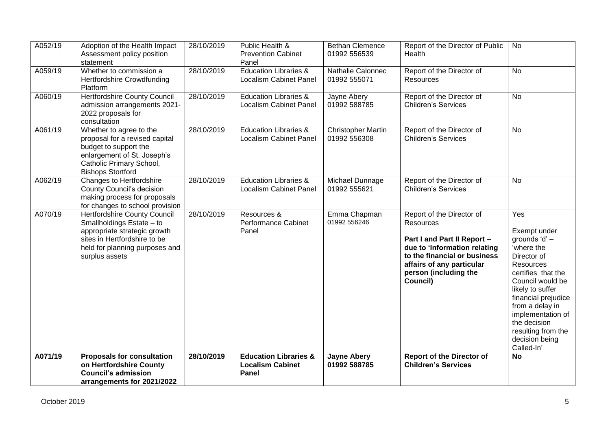| A052/19 | Adoption of the Health Impact<br>Assessment policy position<br>statement                                                                                                      | 28/10/2019 | Public Health &<br><b>Prevention Cabinet</b><br>Panel                | <b>Bethan Clemence</b><br>01992 556539    | Report of the Director of Public<br>Health                                                                                                                                                              | No                                                                                                                                                                                                                                                                                       |
|---------|-------------------------------------------------------------------------------------------------------------------------------------------------------------------------------|------------|----------------------------------------------------------------------|-------------------------------------------|---------------------------------------------------------------------------------------------------------------------------------------------------------------------------------------------------------|------------------------------------------------------------------------------------------------------------------------------------------------------------------------------------------------------------------------------------------------------------------------------------------|
| A059/19 | Whether to commission a<br>Hertfordshire Crowdfunding<br>Platform                                                                                                             | 28/10/2019 | <b>Education Libraries &amp;</b><br><b>Localism Cabinet Panel</b>    | Nathalie Calonnec<br>01992 555071         | Report of the Director of<br><b>Resources</b>                                                                                                                                                           | No                                                                                                                                                                                                                                                                                       |
| A060/19 | Hertfordshire County Council<br>admission arrangements 2021-<br>2022 proposals for<br>consultation                                                                            | 28/10/2019 | <b>Education Libraries &amp;</b><br><b>Localism Cabinet Panel</b>    | Jayne Abery<br>01992 588785               | Report of the Director of<br><b>Children's Services</b>                                                                                                                                                 | No                                                                                                                                                                                                                                                                                       |
| A061/19 | Whether to agree to the<br>proposal for a revised capital<br>budget to support the<br>enlargement of St. Joseph's<br>Catholic Primary School,<br><b>Bishops Stortford</b>     | 28/10/2019 | <b>Education Libraries &amp;</b><br><b>Localism Cabinet Panel</b>    | <b>Christopher Martin</b><br>01992 556308 | Report of the Director of<br><b>Children's Services</b>                                                                                                                                                 | No                                                                                                                                                                                                                                                                                       |
| A062/19 | Changes to Hertfordshire<br>County Council's decision<br>making process for proposals<br>for changes to school provision                                                      | 28/10/2019 | <b>Education Libraries &amp;</b><br><b>Localism Cabinet Panel</b>    | Michael Dunnage<br>01992 555621           | Report of the Director of<br><b>Children's Services</b>                                                                                                                                                 | No                                                                                                                                                                                                                                                                                       |
| A070/19 | Hertfordshire County Council<br>Smallholdings Estate - to<br>appropriate strategic growth<br>sites in Hertfordshire to be<br>held for planning purposes and<br>surplus assets | 28/10/2019 | Resources &<br>Performance Cabinet<br>Panel                          | Emma Chapman<br>01992 556246              | Report of the Director of<br>Resources<br>Part I and Part II Report -<br>due to 'Information relating<br>to the financial or business<br>affairs of any particular<br>person (including the<br>Council) | Yes<br>Exempt under<br>grounds 'd' -<br>'where the<br>Director of<br><b>Resources</b><br>certifies that the<br>Council would be<br>likely to suffer<br>financial prejudice<br>from a delay in<br>implementation of<br>the decision<br>resulting from the<br>decision being<br>Called-In' |
| A071/19 | <b>Proposals for consultation</b><br>on Hertfordshire County<br><b>Council's admission</b><br>arrangements for 2021/2022                                                      | 28/10/2019 | <b>Education Libraries &amp;</b><br><b>Localism Cabinet</b><br>Panel | <b>Jayne Abery</b><br>01992 588785        | <b>Report of the Director of</b><br><b>Children's Services</b>                                                                                                                                          | <b>No</b>                                                                                                                                                                                                                                                                                |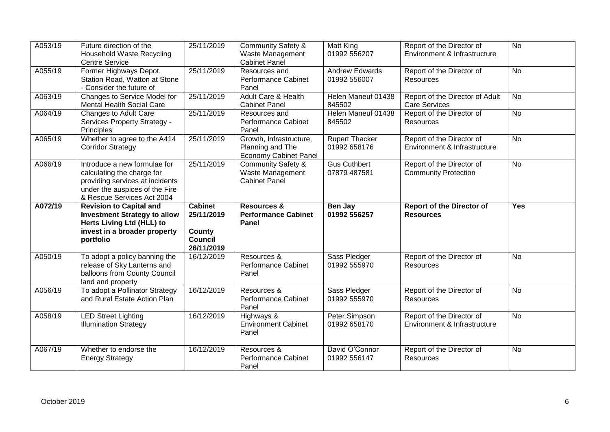| A053/19 | Future direction of the             | 25/11/2019     | <b>Community Safety &amp;</b>            | Matt King                     | Report of the Director of                                 | <b>No</b>  |
|---------|-------------------------------------|----------------|------------------------------------------|-------------------------------|-----------------------------------------------------------|------------|
|         | Household Waste Recycling           |                | Waste Management                         | 01992 556207                  | Environment & Infrastructure                              |            |
|         | <b>Centre Service</b>               |                | <b>Cabinet Panel</b>                     |                               |                                                           |            |
| A055/19 | Former Highways Depot,              | 25/11/2019     | Resources and                            | <b>Andrew Edwards</b>         | Report of the Director of                                 | <b>No</b>  |
|         | Station Road, Watton at Stone       |                | <b>Performance Cabinet</b>               | 01992 556007                  | <b>Resources</b>                                          |            |
|         | - Consider the future of            |                | Panel                                    |                               |                                                           |            |
| A063/19 | Changes to Service Model for        | 25/11/2019     | <b>Adult Care &amp; Health</b>           | Helen Maneuf 01438            | Report of the Director of Adult                           | <b>No</b>  |
|         | <b>Mental Health Social Care</b>    |                | <b>Cabinet Panel</b>                     | 845502                        | <b>Care Services</b>                                      |            |
| A064/19 | Changes to Adult Care               | 25/11/2019     | Resources and                            | Helen Maneuf 01438            | Report of the Director of                                 | <b>No</b>  |
|         | Services Property Strategy -        |                | <b>Performance Cabinet</b>               | 845502                        | Resources                                                 |            |
|         | Principles                          |                | Panel                                    |                               |                                                           |            |
| A065/19 | Whether to agree to the A414        | 25/11/2019     | Growth, Infrastructure,                  | <b>Rupert Thacker</b>         | Report of the Director of                                 | <b>No</b>  |
|         | <b>Corridor Strategy</b>            |                | Planning and The                         | 01992 658176                  | Environment & Infrastructure                              |            |
|         |                                     |                | <b>Economy Cabinet Panel</b>             |                               |                                                           |            |
| A066/19 | Introduce a new formulae for        | 25/11/2019     | <b>Community Safety &amp;</b>            | <b>Gus Cuthbert</b>           | Report of the Director of                                 | <b>No</b>  |
|         | calculating the charge for          |                | Waste Management                         | 07879 487581                  | <b>Community Protection</b>                               |            |
|         | providing services at incidents     |                | <b>Cabinet Panel</b>                     |                               |                                                           |            |
|         | under the auspices of the Fire      |                |                                          |                               |                                                           |            |
|         | & Rescue Services Act 2004          |                |                                          |                               |                                                           |            |
| A072/19 | <b>Revision to Capital and</b>      | <b>Cabinet</b> | <b>Resources &amp;</b>                   | Ben Jay                       | <b>Report of the Director of</b>                          | <b>Yes</b> |
|         | <b>Investment Strategy to allow</b> | 25/11/2019     | <b>Performance Cabinet</b>               | 01992 556257                  | <b>Resources</b>                                          |            |
|         | Herts Living Ltd (HLL) to           |                | Panel                                    |                               |                                                           |            |
|         | invest in a broader property        | County         |                                          |                               |                                                           |            |
|         | portfolio                           | Council        |                                          |                               |                                                           |            |
|         |                                     | 26/11/2019     |                                          |                               |                                                           |            |
| A050/19 | To adopt a policy banning the       | 16/12/2019     | Resources &                              | Sass Pledger                  | Report of the Director of                                 | <b>No</b>  |
|         | release of Sky Lanterns and         |                | <b>Performance Cabinet</b>               | 01992 555970                  | Resources                                                 |            |
|         | balloons from County Council        |                | Panel                                    |                               |                                                           |            |
|         | land and property                   |                |                                          |                               |                                                           |            |
| A056/19 | To adopt a Pollinator Strategy      | 16/12/2019     | Resources &                              | Sass Pledger                  | Report of the Director of                                 | <b>No</b>  |
|         | and Rural Estate Action Plan        |                | <b>Performance Cabinet</b>               | 01992 555970                  | Resources                                                 |            |
|         |                                     |                | Panel                                    |                               |                                                           |            |
| A058/19 |                                     |                |                                          |                               |                                                           |            |
|         |                                     |                |                                          |                               |                                                           | <b>No</b>  |
|         | <b>LED Street Lighting</b>          | 16/12/2019     | Highways &<br><b>Environment Cabinet</b> | Peter Simpson<br>01992 658170 | Report of the Director of<br>Environment & Infrastructure |            |
|         | <b>Illumination Strategy</b>        |                | Panel                                    |                               |                                                           |            |
|         |                                     |                |                                          |                               |                                                           |            |
| A067/19 | Whether to endorse the              | 16/12/2019     | Resources &                              | David O'Connor                |                                                           | <b>No</b>  |
|         |                                     |                | <b>Performance Cabinet</b>               | 01992 556147                  | Report of the Director of<br>Resources                    |            |
|         | <b>Energy Strategy</b>              |                | Panel                                    |                               |                                                           |            |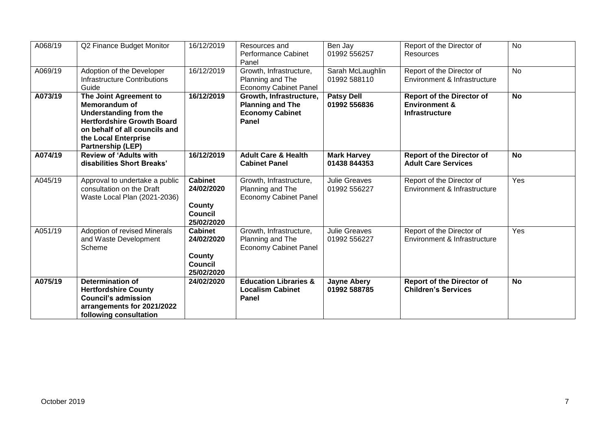| A068/19 | Q2 Finance Budget Monitor                                                                                                                                                                          | 16/12/2019                                                                    | Resources and<br><b>Performance Cabinet</b><br>Panel                                  | Ben Jay<br>01992 556257              | Report of the Director of<br>Resources                                         | <b>No</b> |
|---------|----------------------------------------------------------------------------------------------------------------------------------------------------------------------------------------------------|-------------------------------------------------------------------------------|---------------------------------------------------------------------------------------|--------------------------------------|--------------------------------------------------------------------------------|-----------|
| A069/19 | Adoption of the Developer<br><b>Infrastructure Contributions</b><br>Guide                                                                                                                          | 16/12/2019                                                                    | Growth, Infrastructure,<br>Planning and The<br><b>Economy Cabinet Panel</b>           | Sarah McLaughlin<br>01992 588110     | Report of the Director of<br>Environment & Infrastructure                      | <b>No</b> |
| A073/19 | The Joint Agreement to<br><b>Memorandum of</b><br>Understanding from the<br><b>Hertfordshire Growth Board</b><br>on behalf of all councils and<br>the Local Enterprise<br><b>Partnership (LEP)</b> | 16/12/2019                                                                    | Growth, Infrastructure,<br><b>Planning and The</b><br><b>Economy Cabinet</b><br>Panel | <b>Patsy Dell</b><br>01992 556836    | <b>Report of the Director of</b><br><b>Environment &amp;</b><br>Infrastructure | <b>No</b> |
| A074/19 | <b>Review of 'Adults with</b><br>disabilities Short Breaks'                                                                                                                                        | 16/12/2019                                                                    | <b>Adult Care &amp; Health</b><br><b>Cabinet Panel</b>                                | <b>Mark Harvey</b><br>01438 844353   | <b>Report of the Director of</b><br><b>Adult Care Services</b>                 | <b>No</b> |
| A045/19 | Approval to undertake a public<br>consultation on the Draft<br>Waste Local Plan (2021-2036)                                                                                                        | <b>Cabinet</b><br>24/02/2020<br>County<br><b>Council</b><br>25/02/2020        | Growth, Infrastructure,<br>Planning and The<br><b>Economy Cabinet Panel</b>           | <b>Julie Greaves</b><br>01992 556227 | Report of the Director of<br>Environment & Infrastructure                      | Yes       |
| A051/19 | Adoption of revised Minerals<br>and Waste Development<br>Scheme                                                                                                                                    | <b>Cabinet</b><br>24/02/2020<br><b>County</b><br><b>Council</b><br>25/02/2020 | Growth, Infrastructure,<br>Planning and The<br><b>Economy Cabinet Panel</b>           | <b>Julie Greaves</b><br>01992 556227 | Report of the Director of<br>Environment & Infrastructure                      | Yes       |
| A075/19 | <b>Determination of</b><br><b>Hertfordshire County</b><br><b>Council's admission</b><br>arrangements for 2021/2022<br>following consultation                                                       | 24/02/2020                                                                    | <b>Education Libraries &amp;</b><br><b>Localism Cabinet</b><br>Panel                  | <b>Jayne Abery</b><br>01992 588785   | <b>Report of the Director of</b><br><b>Children's Services</b>                 | <b>No</b> |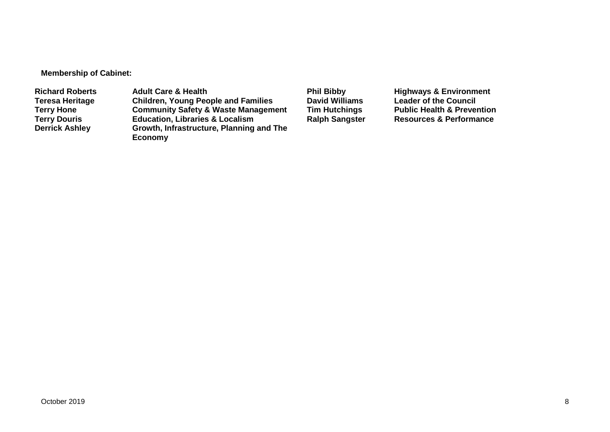**Membership of Cabinet:** 

Richard Roberts **Adult Care & Health** Phil Bibby Highways & Environment<br>
Teresa Heritage Children, Young People and Families David Williams Leader of the Council **Teresa Heritage Children, Young People and Families David Williams Leader of the Council Terry Hone Community Safety & Waste Management Tim Hutchings** Public Health & Prevention<br> **Terry Douris Education, Libraries & Localism** Ralph Sangster Resources & Performance **Terry Douris <b>Education, Libraries & Localism**<br> **Derrick Ashley** Growth, Infrastructure, Planning **Growth, Infrastructure, Planning and The Economy**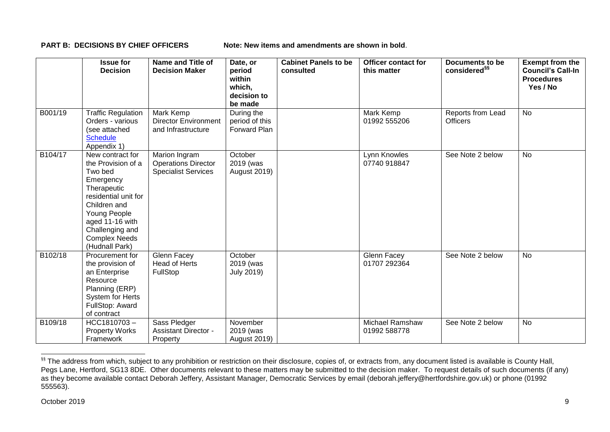**PART B: DECISIONS BY CHIEF OFFICERS Note: New items and amendments are shown in bold.** 

|         | <b>Issue for</b><br><b>Decision</b>                                                                                                                                                                                   | Name and Title of<br><b>Decision Maker</b>                                | Date, or<br>period<br>within<br>which,<br>decision to<br>be made | <b>Cabinet Panels to be</b><br>consulted | <b>Officer contact for</b><br>this matter | <b>Documents to be</b><br>considered <sup>§§</sup> | <b>Exempt from the</b><br><b>Council's Call-In</b><br><b>Procedures</b><br>Yes / No |
|---------|-----------------------------------------------------------------------------------------------------------------------------------------------------------------------------------------------------------------------|---------------------------------------------------------------------------|------------------------------------------------------------------|------------------------------------------|-------------------------------------------|----------------------------------------------------|-------------------------------------------------------------------------------------|
| B001/19 | <b>Traffic Regulation</b><br>Orders - various<br>(see attached<br><b>Schedule</b><br>Appendix 1)                                                                                                                      | Mark Kemp<br><b>Director Environment</b><br>and Infrastructure            | During the<br>period of this<br>Forward Plan                     |                                          | <b>Mark Kemp</b><br>01992 555206          | Reports from Lead<br><b>Officers</b>               | <b>No</b>                                                                           |
| B104/17 | New contract for<br>the Provision of a<br>Two bed<br>Emergency<br>Therapeutic<br>residential unit for<br>Children and<br>Young People<br>aged 11-16 with<br>Challenging and<br><b>Complex Needs</b><br>(Hudnall Park) | Marion Ingram<br><b>Operations Director</b><br><b>Specialist Services</b> | October<br>2019 (was<br><b>August 2019)</b>                      |                                          | Lynn Knowles<br>07740 918847              | See Note 2 below                                   | No                                                                                  |
| B102/18 | Procurement for<br>the provision of<br>an Enterprise<br>Resource<br>Planning (ERP)<br><b>System for Herts</b><br>FullStop: Award<br>of contract                                                                       | Glenn Facey<br>Head of Herts<br>FullStop                                  | October<br>2019 (was<br><b>July 2019)</b>                        |                                          | Glenn Facey<br>01707 292364               | See Note 2 below                                   | <b>No</b>                                                                           |
| B109/18 | HCC1810703-<br><b>Property Works</b><br>Framework                                                                                                                                                                     | Sass Pledger<br><b>Assistant Director -</b><br>Property                   | November<br>2019 (was<br><b>August 2019)</b>                     |                                          | Michael Ramshaw<br>01992 588778           | See Note 2 below                                   | <b>No</b>                                                                           |

<sup>&</sup>lt;sup>§§</sup> The address from which, subject to any prohibition or restriction on their disclosure, copies of, or extracts from, any document listed is available is County Hall, Pegs Lane, Hertford, SG13 8DE. Other documents relevant to these matters may be submitted to the decision maker. To request details of such documents (if any) as they become available contact Deborah Jeffery, Assistant Manager, Democratic Services by email (deborah.jeffery@hertfordshire.gov.uk) or phone (01992 555563).

-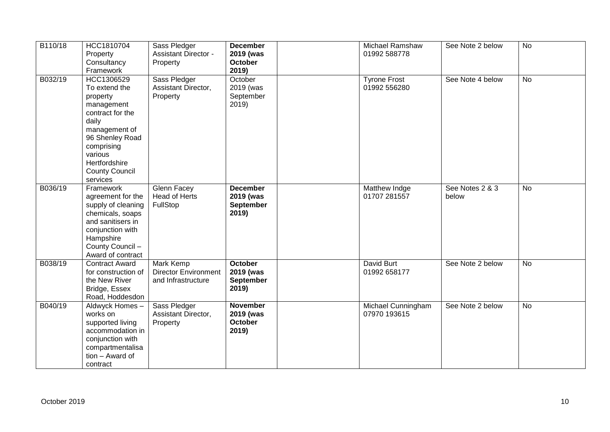| B110/18 | HCC1810704<br>Property<br>Consultancy<br>Framework                                                                                                                                                    | Sass Pledger<br><b>Assistant Director -</b><br>Property               | <b>December</b><br>2019 (was<br><b>October</b><br>2019)   | Michael Ramshaw<br>01992 588778     | See Note 2 below         | <b>No</b>      |
|---------|-------------------------------------------------------------------------------------------------------------------------------------------------------------------------------------------------------|-----------------------------------------------------------------------|-----------------------------------------------------------|-------------------------------------|--------------------------|----------------|
| B032/19 | HCC1306529<br>To extend the<br>property<br>management<br>contract for the<br>daily<br>management of<br>96 Shenley Road<br>comprising<br>various<br>Hertfordshire<br><b>County Council</b><br>services | Sass Pledger<br>Assistant Director,<br>Property                       | October<br>2019 (was<br>September<br>2019)                | <b>Tyrone Frost</b><br>01992 556280 | See Note 4 below         | <b>No</b>      |
| B036/19 | Framework<br>agreement for the<br>supply of cleaning<br>chemicals, soaps<br>and sanitisers in<br>conjunction with<br>Hampshire<br>County Council -<br>Award of contract                               | <b>Glenn Facey</b><br><b>Head of Herts</b><br>FullStop                | <b>December</b><br>2019 (was<br><b>September</b><br>2019) | Matthew Indge<br>01707 281557       | See Notes 2 & 3<br>below | $\overline{N}$ |
| B038/19 | <b>Contract Award</b><br>for construction of<br>the New River<br>Bridge, Essex<br>Road, Hoddesdon                                                                                                     | <b>Mark Kemp</b><br><b>Director Environment</b><br>and Infrastructure | October<br>2019 (was<br>September<br>2019)                | David Burt<br>01992 658177          | See Note 2 below         | $\overline{N}$ |
| B040/19 | Aldwyck Homes -<br>works on<br>supported living<br>accommodation in<br>conjunction with<br>compartmentalisa<br>tion - Award of<br>contract                                                            | Sass Pledger<br>Assistant Director,<br>Property                       | <b>November</b><br>2019 (was<br><b>October</b><br>2019)   | Michael Cunningham<br>07970 193615  | See Note 2 below         | <b>No</b>      |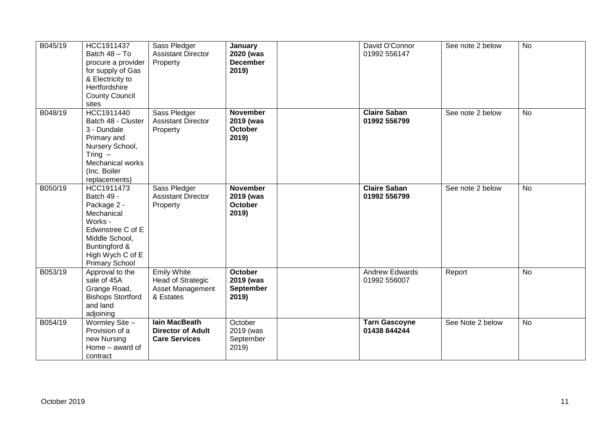| B045/19 | HCC1911437<br>Batch 48 - To<br>procure a provider<br>for supply of Gas<br>& Electricity to<br>Hertfordshire<br><b>County Council</b><br>sites                         | Sass Pledger<br><b>Assistant Director</b><br>Property                                  | January<br>2020 (was<br><b>December</b><br>2019)         | David O'Connor<br>01992 556147        | See note 2 below | <b>No</b> |
|---------|-----------------------------------------------------------------------------------------------------------------------------------------------------------------------|----------------------------------------------------------------------------------------|----------------------------------------------------------|---------------------------------------|------------------|-----------|
| B048/19 | HCC1911440<br>Batch 48 - Cluster<br>3 - Dundale<br>Primary and<br>Nursery School,<br>Tring $-$<br>Mechanical works<br>(Inc. Boiler<br>replacements)                   | Sass Pledger<br><b>Assistant Director</b><br>Property                                  | <b>November</b><br>2019 (was<br><b>October</b><br>2019)  | <b>Claire Saban</b><br>01992 556799   | See note 2 below | <b>No</b> |
| B050/19 | HCC1911473<br>Batch 49 -<br>Package 2 -<br>Mechanical<br>Works -<br>Edwinstree C of E<br>Middle School,<br>Buntingford &<br>High Wych C of E<br><b>Primary School</b> | Sass Pledger<br><b>Assistant Director</b><br>Property                                  | <b>November</b><br>2019 (was<br><b>October</b><br>2019)  | <b>Claire Saban</b><br>01992 556799   | See note 2 below | <b>No</b> |
| B053/19 | Approval to the<br>sale of 45A<br>Grange Road,<br><b>Bishops Stortford</b><br>and land<br>adjoining                                                                   | <b>Emily White</b><br><b>Head of Strategic</b><br><b>Asset Management</b><br>& Estates | <b>October</b><br>2019 (was<br><b>September</b><br>2019) | <b>Andrew Edwards</b><br>01992 556007 | Report           | No        |
| B054/19 | Wormley Site -<br>Provision of a<br>new Nursing<br>Home - award of<br>contract                                                                                        | lain MacBeath<br><b>Director of Adult</b><br><b>Care Services</b>                      | October<br>2019 (was<br>September<br>2019)               | <b>Tarn Gascoyne</b><br>01438 844244  | See Note 2 below | No        |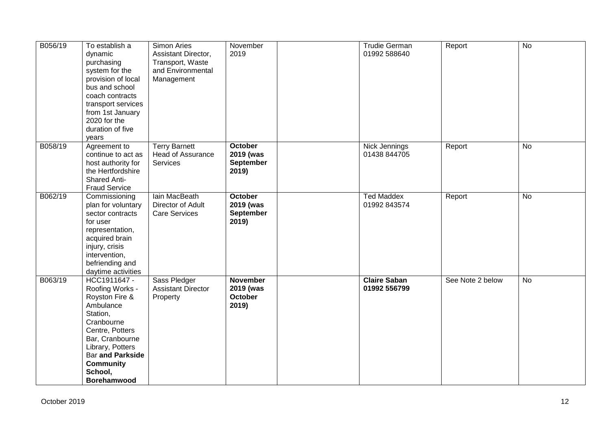| B056/19 | To establish a<br>dynamic<br>purchasing<br>system for the<br>provision of local<br>bus and school<br>coach contracts<br>transport services<br>from 1st January<br>2020 for the<br>duration of five<br>years                        | Simon Aries<br>Assistant Director,<br>Transport, Waste<br>and Environmental<br>Management | November<br>2019                                         | <b>Trudie German</b><br>01992 588640 | Report           | $\overline{N}$ |
|---------|------------------------------------------------------------------------------------------------------------------------------------------------------------------------------------------------------------------------------------|-------------------------------------------------------------------------------------------|----------------------------------------------------------|--------------------------------------|------------------|----------------|
| B058/19 | Agreement to<br>continue to act as<br>host authority for<br>the Hertfordshire<br><b>Shared Anti-</b><br><b>Fraud Service</b>                                                                                                       | <b>Terry Barnett</b><br><b>Head of Assurance</b><br>Services                              | <b>October</b><br>2019 (was<br><b>September</b><br>2019) | Nick Jennings<br>01438 844705        | Report           | No             |
| B062/19 | Commissioning<br>plan for voluntary<br>sector contracts<br>for user<br>representation,<br>acquired brain<br>injury, crisis<br>intervention,<br>befriending and<br>daytime activities                                               | lain MacBeath<br>Director of Adult<br><b>Care Services</b>                                | October<br>2019 (was<br><b>September</b><br>2019)        | <b>Ted Maddex</b><br>01992 843574    | Report           | No             |
| B063/19 | HCC1911647 -<br>Roofing Works -<br>Royston Fire &<br>Ambulance<br>Station,<br>Cranbourne<br>Centre, Potters<br>Bar, Cranbourne<br>Library, Potters<br><b>Bar and Parkside</b><br><b>Community</b><br>School,<br><b>Borehamwood</b> | Sass Pledger<br><b>Assistant Director</b><br>Property                                     | <b>November</b><br>2019 (was<br><b>October</b><br>2019)  | <b>Claire Saban</b><br>01992 556799  | See Note 2 below | <b>No</b>      |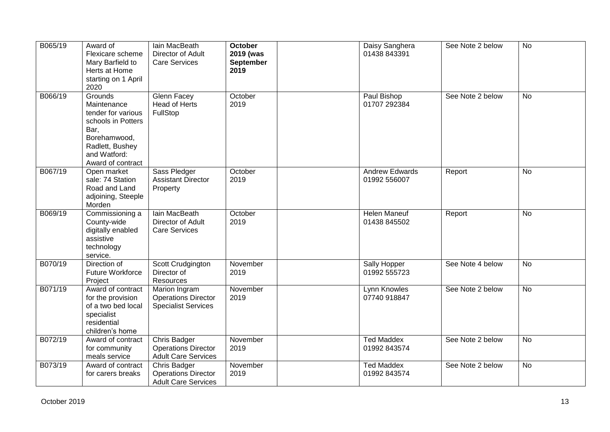| B065/19 | Award of<br>Flexicare scheme<br>Mary Barfield to<br>Herts at Home<br>starting on 1 April<br>2020                                                   | lain MacBeath<br>Director of Adult<br><b>Care Services</b>                | <b>October</b><br>2019 (was<br><b>September</b><br>2019 | Daisy Sanghera<br>01438 843391        | See Note 2 below | <b>No</b>      |
|---------|----------------------------------------------------------------------------------------------------------------------------------------------------|---------------------------------------------------------------------------|---------------------------------------------------------|---------------------------------------|------------------|----------------|
| B066/19 | Grounds<br>Maintenance<br>tender for various<br>schools in Potters<br>Bar,<br>Borehamwood,<br>Radlett, Bushey<br>and Watford:<br>Award of contract | Glenn Facey<br><b>Head of Herts</b><br>FullStop                           | October<br>2019                                         | Paul Bishop<br>01707 292384           | See Note 2 below | No             |
| B067/19 | Open market<br>sale: 74 Station<br>Road and Land<br>adjoining, Steeple<br>Morden                                                                   | Sass Pledger<br><b>Assistant Director</b><br>Property                     | October<br>2019                                         | <b>Andrew Edwards</b><br>01992 556007 | Report           | <b>No</b>      |
| B069/19 | Commissioning a<br>County-wide<br>digitally enabled<br>assistive<br>technology<br>service.                                                         | lain MacBeath<br>Director of Adult<br><b>Care Services</b>                | October<br>2019                                         | <b>Helen Maneuf</b><br>01438 845502   | Report           | <b>No</b>      |
| B070/19 | Direction of<br><b>Future Workforce</b><br>Project                                                                                                 | Scott Crudgington<br>Director of<br>Resources                             | November<br>2019                                        | Sally Hopper<br>01992 555723          | See Note 4 below | <b>No</b>      |
| B071/19 | Award of contract<br>for the provision<br>of a two bed local<br>specialist<br>residential<br>children's home                                       | Marion Ingram<br><b>Operations Director</b><br><b>Specialist Services</b> | November<br>2019                                        | Lynn Knowles<br>07740 918847          | See Note 2 below | <b>No</b>      |
| B072/19 | Award of contract<br>for community<br>meals service                                                                                                | Chris Badger<br><b>Operations Director</b><br><b>Adult Care Services</b>  | November<br>2019                                        | <b>Ted Maddex</b><br>01992 843574     | See Note 2 below | $\overline{N}$ |
| B073/19 | Award of contract<br>for carers breaks                                                                                                             | Chris Badger<br><b>Operations Director</b><br><b>Adult Care Services</b>  | November<br>2019                                        | <b>Ted Maddex</b><br>01992 843574     | See Note 2 below | $\overline{N}$ |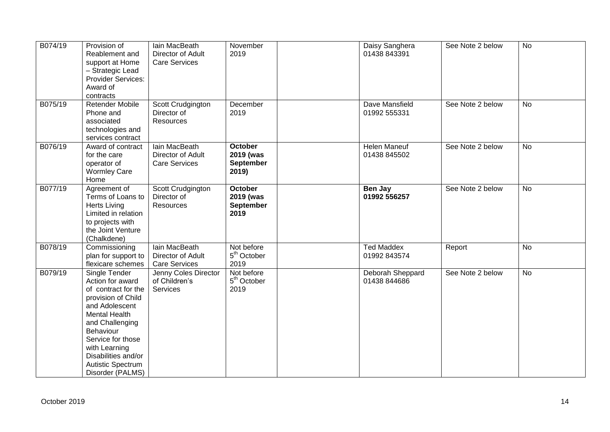| B074/19 | Provision of<br>Reablement and<br>support at Home<br>- Strategic Lead<br>Provider Services:<br>Award of<br>contracts                                                                                                                                           | Iain MacBeath<br>Director of Adult<br><b>Care Services</b> | November<br>2019                                         | Daisy Sanghera<br>01438 843391      | See Note 2 below | <b>No</b>      |
|---------|----------------------------------------------------------------------------------------------------------------------------------------------------------------------------------------------------------------------------------------------------------------|------------------------------------------------------------|----------------------------------------------------------|-------------------------------------|------------------|----------------|
| B075/19 | Retender Mobile<br>Phone and<br>associated<br>technologies and<br>services contract                                                                                                                                                                            | Scott Crudgington<br>Director of<br>Resources              | December<br>2019                                         | Dave Mansfield<br>01992 555331      | See Note 2 below | <b>No</b>      |
| B076/19 | Award of contract<br>for the care<br>operator of<br><b>Wormley Care</b><br>Home                                                                                                                                                                                | lain MacBeath<br>Director of Adult<br><b>Care Services</b> | <b>October</b><br>2019 (was<br><b>September</b><br>2019) | <b>Helen Maneuf</b><br>01438 845502 | See Note 2 below | <b>No</b>      |
| B077/19 | Agreement of<br>Terms of Loans to<br><b>Herts Living</b><br>Limited in relation<br>to projects with<br>the Joint Venture<br>(Chalkdene)                                                                                                                        | Scott Crudgington<br>Director of<br><b>Resources</b>       | <b>October</b><br>2019 (was<br>September<br>2019         | Ben Jay<br>01992 556257             | See Note 2 below | <b>No</b>      |
| B078/19 | Commissioning<br>plan for support to<br>flexicare schemes                                                                                                                                                                                                      | lain MacBeath<br>Director of Adult<br><b>Care Services</b> | Not before<br>5 <sup>th</sup> October<br>2019            | <b>Ted Maddex</b><br>01992 843574   | Report           | <b>No</b>      |
| B079/19 | Single Tender<br>Action for award<br>of contract for the<br>provision of Child<br>and Adolescent<br><b>Mental Health</b><br>and Challenging<br>Behaviour<br>Service for those<br>with Learning<br>Disabilities and/or<br>Autistic Spectrum<br>Disorder (PALMS) | Jenny Coles Director<br>of Children's<br>Services          | Not before<br>5 <sup>th</sup> October<br>2019            | Deborah Sheppard<br>01438 844686    | See Note 2 below | $\overline{N}$ |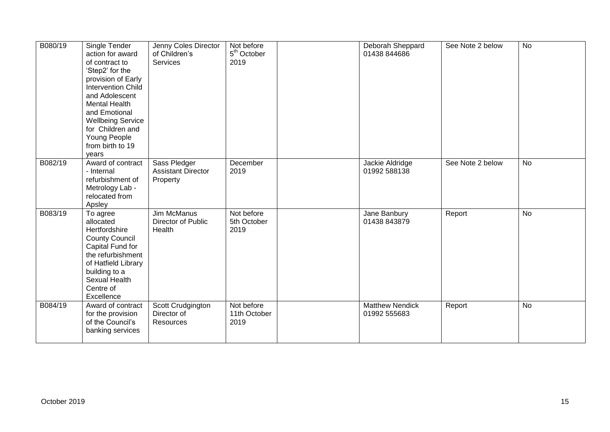| B080/19 | Single Tender<br>action for award<br>of contract to<br>'Step2' for the<br>provision of Early<br><b>Intervention Child</b><br>and Adolescent<br><b>Mental Health</b><br>and Emotional<br><b>Wellbeing Service</b><br>for Children and<br>Young People<br>from birth to 19<br>years | Jenny Coles Director<br>of Children's<br>Services     | Not before<br>5 <sup>th</sup> October<br>2019 | Deborah Sheppard<br>01438 844686       | See Note 2 below | <b>No</b> |
|---------|-----------------------------------------------------------------------------------------------------------------------------------------------------------------------------------------------------------------------------------------------------------------------------------|-------------------------------------------------------|-----------------------------------------------|----------------------------------------|------------------|-----------|
| B082/19 | Award of contract<br>- Internal<br>refurbishment of<br>Metrology Lab -<br>relocated from<br>Apsley                                                                                                                                                                                | Sass Pledger<br><b>Assistant Director</b><br>Property | December<br>2019                              | Jackie Aldridge<br>01992 588138        | See Note 2 below | <b>No</b> |
| B083/19 | To agree<br>allocated<br>Hertfordshire<br><b>County Council</b><br>Capital Fund for<br>the refurbishment<br>of Hatfield Library<br>building to a<br>Sexual Health<br>Centre of<br>Excellence                                                                                      | <b>Jim McManus</b><br>Director of Public<br>Health    | Not before<br>5th October<br>2019             | Jane Banbury<br>01438 843879           | Report           | <b>No</b> |
| B084/19 | Award of contract<br>for the provision<br>of the Council's<br>banking services                                                                                                                                                                                                    | Scott Crudgington<br>Director of<br>Resources         | Not before<br>11th October<br>2019            | <b>Matthew Nendick</b><br>01992 555683 | Report           | <b>No</b> |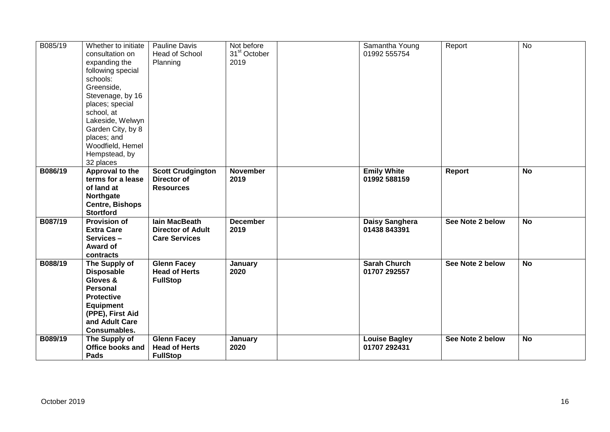| B085/19 | Whether to initiate<br>consultation on<br>expanding the<br>following special<br>schools:<br>Greenside,<br>Stevenage, by 16<br>places; special<br>school, at<br>Lakeside, Welwyn<br>Garden City, by 8<br>places; and<br>Woodfield, Hemel<br>Hempstead, by<br>32 places | Pauline Davis<br><b>Head of School</b><br>Planning                       | Not before<br>31 <sup>st</sup> October<br>2019 | Samantha Young<br>01992 555754       | Report           | <b>No</b> |
|---------|-----------------------------------------------------------------------------------------------------------------------------------------------------------------------------------------------------------------------------------------------------------------------|--------------------------------------------------------------------------|------------------------------------------------|--------------------------------------|------------------|-----------|
| B086/19 | Approval to the<br>terms for a lease<br>of land at<br>Northgate<br><b>Centre, Bishops</b><br><b>Stortford</b>                                                                                                                                                         | <b>Scott Crudgington</b><br>Director of<br><b>Resources</b>              | <b>November</b><br>2019                        | <b>Emily White</b><br>01992 588159   | <b>Report</b>    | <b>No</b> |
| B087/19 | <b>Provision of</b><br><b>Extra Care</b><br>Services-<br><b>Award of</b><br>contracts                                                                                                                                                                                 | <b>lain MacBeath</b><br><b>Director of Adult</b><br><b>Care Services</b> | <b>December</b><br>2019                        | Daisy Sanghera<br>01438 843391       | See Note 2 below | <b>No</b> |
| B088/19 | The Supply of<br><b>Disposable</b><br>Gloves &<br><b>Personal</b><br><b>Protective</b><br><b>Equipment</b><br>(PPE), First Aid<br>and Adult Care<br>Consumables.                                                                                                      | <b>Glenn Facey</b><br><b>Head of Herts</b><br><b>FullStop</b>            | January<br>2020                                | <b>Sarah Church</b><br>01707 292557  | See Note 2 below | <b>No</b> |
| B089/19 | The Supply of<br><b>Office books and</b><br>Pads                                                                                                                                                                                                                      | <b>Glenn Facey</b><br><b>Head of Herts</b><br><b>FullStop</b>            | January<br>2020                                | <b>Louise Bagley</b><br>01707 292431 | See Note 2 below | <b>No</b> |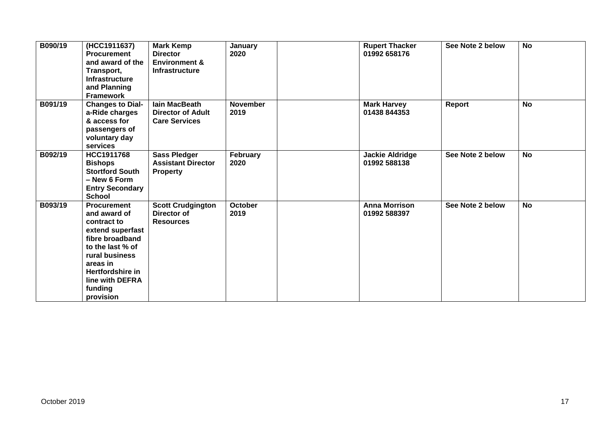| B090/19 | (HCC1911637)<br><b>Procurement</b><br>and award of the<br>Transport,<br><b>Infrastructure</b><br>and Planning<br><b>Framework</b>                                                                         | <b>Mark Kemp</b><br><b>Director</b><br><b>Environment &amp;</b><br><b>Infrastructure</b> | January<br>2020         | <b>Rupert Thacker</b><br>01992 658176  | See Note 2 below | <b>No</b> |
|---------|-----------------------------------------------------------------------------------------------------------------------------------------------------------------------------------------------------------|------------------------------------------------------------------------------------------|-------------------------|----------------------------------------|------------------|-----------|
| B091/19 | <b>Changes to Dial-</b><br>a-Ride charges<br>& access for<br>passengers of<br>voluntary day<br>services                                                                                                   | lain MacBeath<br><b>Director of Adult</b><br><b>Care Services</b>                        | <b>November</b><br>2019 | <b>Mark Harvey</b><br>01438 844353     | Report           | <b>No</b> |
| B092/19 | HCC1911768<br><b>Bishops</b><br><b>Stortford South</b><br>- New 6 Form<br><b>Entry Secondary</b><br><b>School</b>                                                                                         | <b>Sass Pledger</b><br><b>Assistant Director</b><br><b>Property</b>                      | February<br>2020        | <b>Jackie Aldridge</b><br>01992 588138 | See Note 2 below | <b>No</b> |
| B093/19 | <b>Procurement</b><br>and award of<br>contract to<br>extend superfast<br>fibre broadband<br>to the last % of<br>rural business<br>areas in<br>Hertfordshire in<br>line with DEFRA<br>funding<br>provision | <b>Scott Crudgington</b><br>Director of<br><b>Resources</b>                              | <b>October</b><br>2019  | <b>Anna Morrison</b><br>01992 588397   | See Note 2 below | <b>No</b> |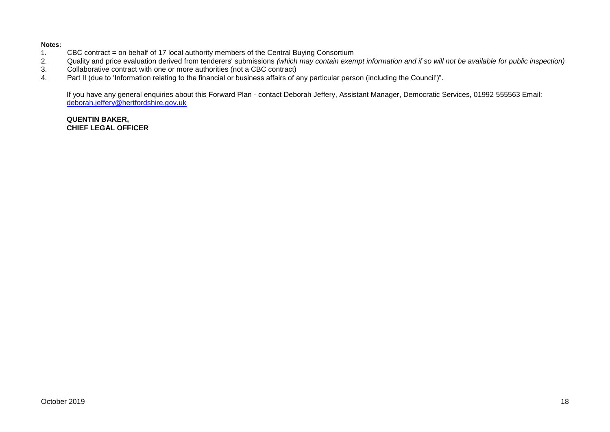#### **Notes:**

- 1. CBC contract = on behalf of 17 local authority members of the Central Buying Consortium<br>2. Quality and price evaluation derived from tenderers' submissions (which may contain exen
- 2. Quality and price evaluation derived from tenderers' submissions *(which may contain exempt information and if so will not be available for public inspection)*
- 3. Collaborative contract with one or more authorities (not a CBC contract)<br>4. Part II (due to 'Information relating to the financial or business affairs of a
- Part II (due to 'Information relating to the financial or business affairs of any particular person (including the Council')".

If you have any general enquiries about this Forward Plan - contact Deborah Jeffery, Assistant Manager, Democratic Services, 01992 555563 Email: [deborah.jeffery@hertfordshire.gov.uk](mailto:deborah.jeffery@hertfordshire.gov.uk) 

#### **QUENTIN BAKER, CHIEF LEGAL OFFICER**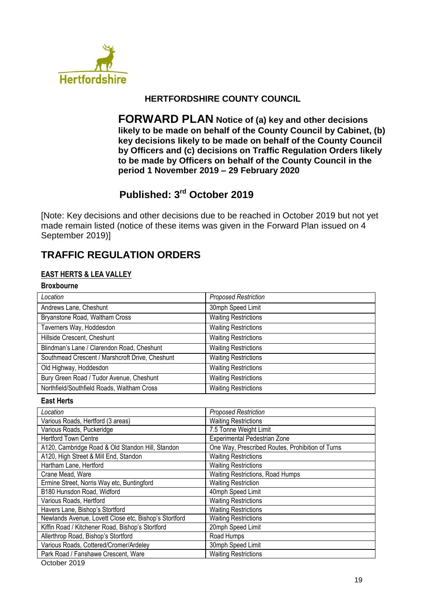

## **HERTFORDSHIRE COUNTY COUNCIL**

**FORWARD PLAN Notice of (a) key and other decisions likely to be made on behalf of the County Council by Cabinet, (b) key decisions likely to be made on behalf of the County Council by Officers and (c) decisions on Traffic Regulation Orders likely to be made by Officers on behalf of the County Council in the period 1 November 2019 – 29 February 2020**

# **Published: 3 rd October 2019**

[Note: Key decisions and other decisions due to be reached in October 2019 but not yet made remain listed (notice of these items was given in the Forward Plan issued on 4 September 2019)]

# **TRAFFIC REGULATION ORDERS**

## **EAST HERTS & LEA VALLEY**

#### **Broxbourne**

| Location                                        | <b>Proposed Restriction</b> |
|-------------------------------------------------|-----------------------------|
| Andrews Lane, Cheshunt                          | 30mph Speed Limit           |
| Bryanstone Road, Waltham Cross                  | <b>Waiting Restrictions</b> |
| Taverners Way, Hoddesdon                        | <b>Waiting Restrictions</b> |
| Hillside Crescent, Cheshunt                     | <b>Waiting Restrictions</b> |
| Blindman's Lane / Clarendon Road, Cheshunt      | <b>Waiting Restrictions</b> |
| Southmead Crescent / Marshcroft Drive, Cheshunt | <b>Waiting Restrictions</b> |
| Old Highway, Hoddesdon                          | <b>Waiting Restrictions</b> |
| Bury Green Road / Tudor Avenue, Cheshunt        | <b>Waiting Restrictions</b> |
| Northfield/Southfield Roads, Waltham Cross      | <b>Waiting Restrictions</b> |

#### **East Herts**

| <b>Proposed Restriction</b>                      |
|--------------------------------------------------|
| <b>Waiting Restrictions</b>                      |
| 7.5 Tonne Weight Limit                           |
| Experimental Pedestrian Zone                     |
| One Way, Prescribed Routes, Prohibition of Turns |
| <b>Waiting Restrictions</b>                      |
| <b>Waiting Restrictions</b>                      |
| Waiting Restrictions, Road Humps                 |
| <b>Waiting Restriction</b>                       |
| 40mph Speed Limit                                |
| <b>Waiting Restrictions</b>                      |
| <b>Waiting Restrictions</b>                      |
| <b>Waiting Restrictions</b>                      |
| 20mph Speed Limit                                |
| Road Humps                                       |
| 30mph Speed Limit                                |
| <b>Waiting Restrictions</b>                      |
|                                                  |

October 2019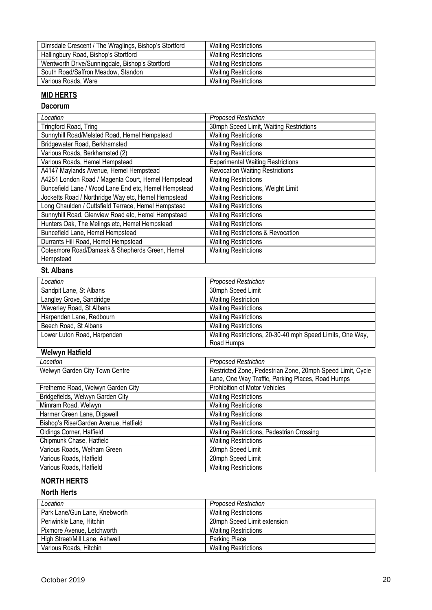| Dimsdale Crescent / The Wraglings, Bishop's Stortford | <b>Waiting Restrictions</b> |
|-------------------------------------------------------|-----------------------------|
| Hallingbury Road, Bishop's Stortford                  | <b>Waiting Restrictions</b> |
| Wentworth Drive/Sunningdale, Bishop's Stortford       | <b>Waiting Restrictions</b> |
| South Road/Saffron Meadow, Standon                    | <b>Waiting Restrictions</b> |
| Various Roads, Ware                                   | <b>Waiting Restrictions</b> |

## **MID HERTS**

### **Dacorum**

| Location                                             | <b>Proposed Restriction</b>              |
|------------------------------------------------------|------------------------------------------|
| Tringford Road, Tring                                | 30mph Speed Limit, Waiting Restrictions  |
| Sunnyhill Road/Melsted Road, Hemel Hempstead         | <b>Waiting Restrictions</b>              |
| Bridgewater Road, Berkhamsted                        | <b>Waiting Restrictions</b>              |
| Various Roads, Berkhamsted (2)                       | <b>Waiting Restrictions</b>              |
| Various Roads, Hemel Hempstead                       | <b>Experimental Waiting Restrictions</b> |
| A4147 Maylands Avenue, Hemel Hempstead               | <b>Revocation Waiting Restrictions</b>   |
| A4251 London Road / Magenta Court, Hemel Hempstead   | <b>Waiting Restrictions</b>              |
| Buncefield Lane / Wood Lane End etc, Hemel Hempstead | Waiting Restrictions, Weight Limit       |
| Jocketts Road / Northridge Way etc, Hemel Hempstead  | <b>Waiting Restrictions</b>              |
| Long Chaulden / Cuttsfield Terrace, Hemel Hempstead  | <b>Waiting Restrictions</b>              |
| Sunnyhill Road, Glenview Road etc, Hemel Hempstead   | <b>Waiting Restrictions</b>              |
| Hunters Oak, The Melings etc, Hemel Hempstead        | <b>Waiting Restrictions</b>              |
| Buncefield Lane, Hemel Hempstead                     | Waiting Restrictions & Revocation        |
| Durrants Hill Road, Hemel Hempstead                  | <b>Waiting Restrictions</b>              |
| Cotesmore Road/Damask & Shepherds Green, Hemel       | <b>Waiting Restrictions</b>              |
| Hempstead                                            |                                          |

### **St. Albans**

| Location                    | <b>Proposed Restriction</b>                               |
|-----------------------------|-----------------------------------------------------------|
| Sandpit Lane, St Albans     | 30mph Speed Limit                                         |
| Langley Grove, Sandridge    | <b>Waiting Restriction</b>                                |
| Waverley Road, St Albans    | <b>Waiting Restrictions</b>                               |
| Harpenden Lane, Redbourn    | <b>Waiting Restrictions</b>                               |
| Beech Road, St Albans       | <b>Waiting Restrictions</b>                               |
| Lower Luton Road, Harpenden | Waiting Restrictions, 20-30-40 mph Speed Limits, One Way, |
|                             | Road Humps                                                |

# **Welwyn Hatfield**

| Location                              | <b>Proposed Restriction</b>                                |
|---------------------------------------|------------------------------------------------------------|
| Welwyn Garden City Town Centre        | Restricted Zone, Pedestrian Zone, 20mph Speed Limit, Cycle |
|                                       | Lane, One Way Traffic, Parking Places, Road Humps          |
| Fretherne Road, Welwyn Garden City    | Prohibition of Motor Vehicles                              |
| Bridgefields, Welwyn Garden City      | <b>Waiting Restrictions</b>                                |
| Mimram Road, Welwyn                   | <b>Waiting Restrictions</b>                                |
| Harmer Green Lane, Digswell           | <b>Waiting Restrictions</b>                                |
| Bishop's Rise/Garden Avenue, Hatfield | <b>Waiting Restrictions</b>                                |
| Oldings Corner, Hatfield              | Waiting Restrictions, Pedestrian Crossing                  |
| Chipmunk Chase, Hatfield              | <b>Waiting Restrictions</b>                                |
| Various Roads, Welham Green           | 20mph Speed Limit                                          |
| Various Roads, Hatfield               | 20mph Speed Limit                                          |
| Various Roads, Hatfield               | <b>Waiting Restrictions</b>                                |

## **NORTH HERTS**

## **North Herts**

| Location                       | <b>Proposed Restriction</b> |
|--------------------------------|-----------------------------|
| Park Lane/Gun Lane, Knebworth  | <b>Waiting Restrictions</b> |
| Periwinkle Lane, Hitchin       | 20mph Speed Limit extension |
| Pixmore Avenue, Letchworth     | <b>Waiting Restrictions</b> |
| High Street/Mill Lane, Ashwell | Parking Place               |
| Various Roads, Hitchin         | <b>Waiting Restrictions</b> |